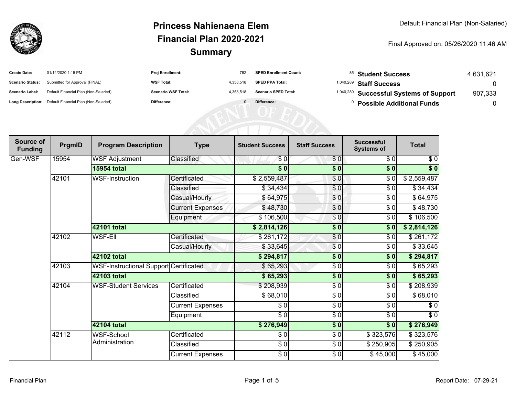

| <b>Create Date:</b>     | 01/14/2020 1:15 PM                                      | <b>Proj Enrollment:</b>    |           | <b>SPED Enrollment Count:</b> | <sup>85</sup> Student Success                      | 4.631.621 |
|-------------------------|---------------------------------------------------------|----------------------------|-----------|-------------------------------|----------------------------------------------------|-----------|
| <b>Scenario Status:</b> | Submitted for Approval (FINAL)                          | <b>WSF Total:</b>          | 4.358.518 | <b>SPED PPA Total:</b>        | <sup>1,040,289</sup> Staff Success                 |           |
| <b>Scenario Label:</b>  | Default Financial Plan (Non-Salaried)                   | <b>Scenario WSF Total:</b> | 4.358.518 | <b>Scenario SPED Total:</b>   | <sup>1,040,289</sup> Successful Systems of Support | 907,333   |
|                         | Long Description: Default Financial Plan (Non-Salaried) | Difference:                |           | Difference:                   | <b>Possible Additional Funds</b>                   |           |

| Source of<br><b>Funding</b> | PrgmID | <b>Program Description</b>             | <b>Type</b>             | <b>Student Success</b>   | <b>Staff Success</b> | <b>Successful</b><br><b>Systems of</b> | <b>Total</b> |
|-----------------------------|--------|----------------------------------------|-------------------------|--------------------------|----------------------|----------------------------------------|--------------|
| Gen-WSF                     | 15954  | <b>WSF Adjustment</b>                  | Classified              | \$0                      | \$0                  | \$0                                    | \$0          |
|                             |        | <b>15954 total</b>                     |                         | $\overline{\$0}$         | $\overline{\bullet}$ | \$0                                    | $\sqrt[6]{}$ |
|                             | 42101  | WSF-Instruction                        | Certificated            | \$2,559,487              | \$0                  | \$0                                    | \$2,559,487  |
|                             |        |                                        | Classified              | \$34,434                 | \$0                  | $\sqrt{6}$                             | \$34,434     |
|                             |        |                                        | Casual/Hourly           | \$64,975                 | \$0                  | \$0                                    | \$64,975     |
|                             |        |                                        | <b>Current Expenses</b> | \$48,730                 | \$0                  | \$0                                    | \$48,730     |
|                             |        |                                        | Equipment               | \$106,500                | \$0                  | \$0                                    | \$106,500    |
|                             |        | 42101 total                            |                         | \$2,814,126              | $\overline{\bullet}$ | $\overline{\bullet}$                   | \$2,814,126  |
|                             | 42102  | <b>WSF-EII</b>                         | Certificated            | \$261,172                | $\frac{6}{9}$        | $\sqrt{6}$                             | \$261,172    |
|                             |        |                                        | Casual/Hourly           | \$33,645                 | $\frac{6}{3}$        | \$0                                    | \$33,645     |
|                             |        | 42102 total                            |                         | \$294,817                | \$0                  | \$0                                    | \$294,817    |
|                             | 42103  | WSF-Instructional Support Certificated |                         | \$65,293                 | \$0                  | \$0                                    | \$65,293     |
|                             |        | 42103 total                            |                         | \$65,293                 | $\frac{1}{6}$        | $\overline{\bullet}$                   | \$65,293     |
|                             | 42104  | <b>WSF-Student Services</b>            | Certificated            | \$208,939                | $\frac{3}{6}$        | \$0                                    | \$208,939    |
|                             |        |                                        | Classified              | \$68,010                 | \$0                  | \$0                                    | \$68,010     |
|                             |        |                                        | <b>Current Expenses</b> | \$0                      | \$0                  | \$0                                    | \$0          |
|                             |        |                                        | Equipment               | $\overline{\frac{1}{2}}$ | $\frac{3}{6}$        | $\sqrt{6}$                             | $\sqrt{6}$   |
|                             |        | 42104 total                            |                         | \$276,949                | $\frac{1}{6}$        | $\frac{1}{2}$                          | \$276,949    |
|                             | 42112  | WSF-School                             | Certificated            | \$0                      | \$0                  | \$323,576                              | \$323,576    |
|                             |        | Administration                         | Classified              | $\frac{6}{6}$            | \$0                  | \$250,905                              | \$250,905    |
|                             |        |                                        | <b>Current Expenses</b> | $\frac{6}{6}$            | \$0                  | \$45,000                               | \$45,000     |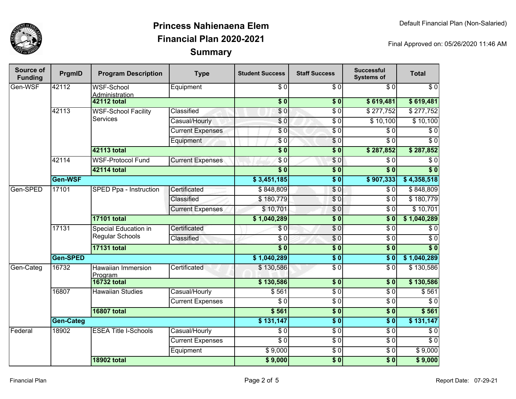

| Source of<br><b>Funding</b> | PrgmID           | <b>Program Description</b>                    | <b>Type</b>             | <b>Student Success</b> | <b>Staff Success</b>       | <b>Successful</b><br><b>Systems of</b> | <b>Total</b>     |
|-----------------------------|------------------|-----------------------------------------------|-------------------------|------------------------|----------------------------|----------------------------------------|------------------|
| Gen-WSF                     | 42112            | <b>WSF-School</b><br><b>Administration</b>    | Equipment               | $\overline{\$0}$       | $\frac{3}{6}$              | \$0                                    | $\overline{60}$  |
|                             |                  | <b>42112 total</b>                            |                         | $\overline{\$0}$       | $\overline{\phantom{0}30}$ | \$619,481                              | \$619,481        |
|                             | 42113            | <b>WSF-School Facility</b><br><b>Services</b> | Classified              | \$0                    | $\sqrt{3}$                 | \$277,752                              | \$277,752        |
|                             |                  |                                               | Casual/Hourly           | \$0                    | \$ 0                       | \$10,100                               | \$10,100         |
|                             |                  |                                               | <b>Current Expenses</b> | $\overline{\$0}$       | \$ 0                       | \$0                                    | $\overline{\$0}$ |
|                             |                  |                                               | Equipment               | $\sqrt{6}$             | \$0                        | $\overline{\$0}$                       | $\overline{\$0}$ |
|                             |                  | 42113 total                                   |                         | $\overline{\$0}$       | $\overline{\$0}$           | \$287,852                              | \$287,852        |
|                             | 42114            | <b>WSF-Protocol Fund</b>                      | <b>Current Expenses</b> | $\sqrt{6}$             | $\sqrt{6}$                 | $\overline{\$0}$                       | $\overline{\$0}$ |
|                             |                  | 42114 total                                   |                         | $\overline{\$0}$       | $\sqrt{6}$                 | $\overline{\$0}$                       | $\overline{\$0}$ |
|                             | Gen-WSF          |                                               |                         | \$3,451,185            | $\sqrt{6}$                 | \$907,333                              | \$4,358,518      |
| Gen-SPED                    | 17101            | SPED Ppa - Instruction                        | Certificated            | \$848,809              | $\sqrt{6}$                 | $\overline{\$0}$                       | \$848,809        |
|                             |                  |                                               | Classified              | \$180,779              | $\sqrt{6}$                 | $\overline{\$0}$                       | \$180,779        |
|                             |                  |                                               | <b>Current Expenses</b> | \$10,701               | $\overline{S}0$            | $\overline{\$0}$                       | \$10,701         |
|                             |                  | <b>17101 total</b>                            |                         | \$1,040,289            | $\sqrt{6}$                 | $\overline{\$}0$                       | \$1,040,289      |
|                             | 17131            | <b>Special Education in</b>                   | Certificated            | $\overline{\$0}$       | $\overline{\$0}$           | $\overline{\$0}$                       | $\overline{\$0}$ |
|                             |                  | <b>Regular Schools</b>                        | Classified              | \$0                    | $\frac{6}{6}$              | $\overline{\$0}$                       | $\overline{\$0}$ |
|                             |                  | <b>17131 total</b>                            |                         | $\overline{\$0}$       | $\overline{\$0}$           | $\overline{\$0}$                       | $\overline{\$0}$ |
|                             | Gen-SPED         |                                               |                         |                        | $\overline{\$0}$           | $s$ <sub>0</sub>                       | \$1,040,289      |
| Gen-Categ                   | 16732            | <b>Hawaiian Immersion</b><br><b>Program</b>   | Certificated            | \$130,586              | $\sqrt{3}$                 | $\overline{\$0}$                       | \$130,586        |
|                             |                  | <b>16732 total</b>                            |                         | \$130,586              | \$0                        | $\sqrt{6}$                             | \$130,586        |
|                             | 16807            | <b>Hawaiian Studies</b>                       | Casual/Hourly           | \$561                  | \$0                        | $\sqrt{6}$                             | \$561            |
|                             |                  |                                               | <b>Current Expenses</b> | $\sqrt{6}$             | $\sqrt{6}$                 | $\sqrt{6}$                             | $\sqrt{6}$       |
|                             |                  | <b>16807 total</b>                            |                         | \$561                  | \$0                        | $\overline{\$0}$                       | \$561            |
|                             | <b>Gen-Categ</b> |                                               | \$131,147               | $\overline{\$0}$       | $\overline{\$0}$           | \$131,147                              |                  |
| Federal                     | 18902            | <b>ESEA Title I-Schools</b>                   | Casual/Hourly           | $\overline{\$0}$       | \$0                        | \$0                                    | $\sqrt{6}$       |
|                             |                  |                                               | <b>Current Expenses</b> | $\sqrt{6}$             | \$0                        | $\sqrt{6}$                             | $\sqrt{6}$       |
|                             |                  |                                               | Equipment               | \$9,000                | $\frac{3}{2}$              | $\sqrt{6}$                             | \$9,000          |
|                             |                  | <b>18902 total</b>                            |                         | \$9,000                | \$0                        | $\overline{\$0}$                       | \$9,000          |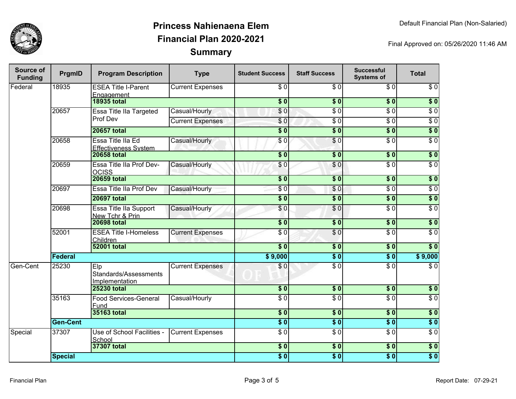

| Source of<br><b>Funding</b> | PrgmID          | <b>Program Description</b>                       | <b>Type</b>             | <b>Student Success</b>   | <b>Staff Success</b> | <b>Successful</b><br><b>Systems of</b> | <b>Total</b>     |
|-----------------------------|-----------------|--------------------------------------------------|-------------------------|--------------------------|----------------------|----------------------------------------|------------------|
| Federal                     | 18935           | <b>ESEA Title I-Parent</b><br>Engagement         | <b>Current Expenses</b> | \$0                      | \$0                  | \$0                                    | $\sqrt{6}$       |
|                             |                 | <b>18935 total</b>                               |                         | $\overline{\$0}$         | $\overline{\$0}$     | $\overline{\$0}$                       | $\sqrt{6}$       |
|                             | 20657           | Essa Title IIa Targeted                          | Casual/Hourly           | $\overline{\$0}$         | $\overline{\$0}$     | $\overline{\$0}$                       | $\overline{\$0}$ |
|                             |                 | Prof Dev                                         | <b>Current Expenses</b> | \$0                      | $\overline{\$0}$     | $\overline{\$0}$                       | $\overline{\$0}$ |
|                             |                 | <b>20657 total</b>                               |                         | $\overline{\$}0$         | $\overline{\$0}$     | \$0                                    | $\overline{\$0}$ |
|                             | 20658           | Essa Title IIa Ed<br><b>Effectiveness System</b> | Casual/Hourly           | $\sqrt{6}$               | $\overline{\$0}$     | $\overline{\$0}$                       | $\overline{\$0}$ |
|                             |                 | <b>20658 total</b>                               |                         | $\overline{\$0}$         | $\overline{\$0}$     | $\overline{\$0}$                       | $\overline{\$0}$ |
|                             | 20659           | Essa Title IIa Prof Dev-<br><b>OCISS</b>         | Casual/Hourly           | \$0                      | \$0                  | $\overline{\$0}$                       | $\sqrt{6}$       |
|                             |                 | <b>20659 total</b>                               |                         | $\overline{\$0}$         | $\overline{\$0}$     | $\overline{\$0}$                       | $\overline{\$0}$ |
|                             | 20697           | <b>Essa Title Ila Prof Dev</b>                   | Casual/Hourly           | \$0                      | \$0                  | $\overline{\$0}$                       | $\overline{\$0}$ |
|                             |                 | <b>20697 total</b>                               |                         | $\overline{\$0}$         | $\overline{\$0}$     | $\overline{\$0}$                       | $\overline{\$0}$ |
|                             | 20698           | Essa Title IIa Support<br>New Tchr & Prin        | Casual/Hourly           | \$0                      | $\overline{30}$      | $\overline{30}$                        | $\overline{S}0$  |
|                             |                 | <b>20698 total</b>                               |                         | $\overline{\$0}$         | $\overline{\$0}$     | $\overline{\$0}$                       | $\overline{\$0}$ |
|                             | 52001           | <b>ESEA Title I-Homeless</b><br>Children         | <b>Current Expenses</b> | $\overline{\$0}$         | $\overline{\$0}$     | $\overline{\$0}$                       | $\overline{\$0}$ |
|                             |                 | <b>52001 total</b>                               |                         | $\overline{\$0}$         | $\overline{\$0}$     | $\overline{\$0}$                       | $\overline{\$0}$ |
|                             | Federal         |                                                  |                         | \$9,000                  | $\overline{\$0}$     | $\overline{\$0}$                       | \$9,000          |
| Gen-Cent                    | 25230           | Elp<br>Standards/Assessments<br>Implementation   | <b>Current Expenses</b> | \$0                      | $\overline{S}0$      | $\overline{30}$                        | $\overline{S}0$  |
|                             |                 | <b>25230 total</b>                               |                         | $\overline{\$0}$         | $\overline{\$0}$     | $\overline{\$0}$                       | $\overline{\$0}$ |
|                             | 35163           | <b>Food Services-General</b><br>Fund             | Casual/Hourly           | $\overline{S}0$          | $\overline{30}$      | $\overline{\$0}$                       | $\overline{\$0}$ |
|                             |                 | 35163 total                                      |                         | $\overline{\textbf{50}}$ | $\overline{\$}0$     | $\overline{\textbf{50}}$               | $\overline{\$0}$ |
|                             | <b>Gen-Cent</b> |                                                  |                         | $\overline{\$0}$         | $\overline{\$0}$     | $\overline{\$0}$                       | $\overline{\$0}$ |
| Special                     | 37307           | Use of School Facilities -<br>School             | <b>Current Expenses</b> | $\overline{\$0}$         | $\overline{\$0}$     | $\overline{\$0}$                       | $\overline{\$0}$ |
|                             |                 | 37307 total                                      |                         | \$0                      | $\overline{\$0}$     | \$0                                    | \$0              |
|                             | <b>Special</b>  |                                                  |                         | $\overline{\$0}$         | $\overline{\$}0$     | $\overline{\$0}$                       | $\overline{\$0}$ |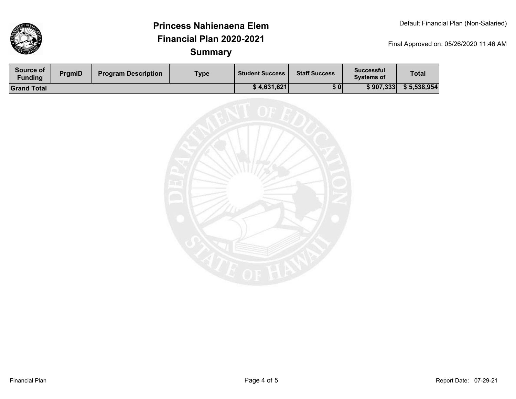

| Source of<br><b>Funding</b> | PrgmID | <b>Program Description</b> | Type | <b>Student Success</b> | <b>Staff Success</b> | <b>Successful</b><br><b>Systems of</b> | <b>Total</b> |
|-----------------------------|--------|----------------------------|------|------------------------|----------------------|----------------------------------------|--------------|
| <b>Grand Total</b>          |        |                            |      | \$4,631,621            | \$0                  | \$907,333                              | \$5,538,954  |